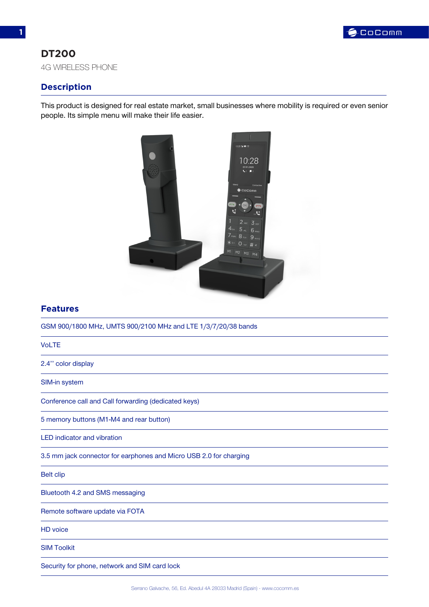

## **DT200**

4G WIRELESS PHONE

## **Description**

This product is designed for real estate market, small businesses where mobility is required or even senior people. Its simple menu will make their life easier.



## **Features**

GSM 900/1800 MHz, UMTS 900/2100 MHz and LTE 1/3/7/20/38 bands

#### VoLTE

2.4'' color display

SIM-in system

Conference call and Call forwarding (dedicated keys)

5 memory buttons (M1-M4 and rear button)

LED indicator and vibration

3.5 mm jack connector for earphones and Micro USB 2.0 for charging

Belt clip

Bluetooth 4.2 and SMS messaging

Remote software update via FOTA

HD voice

SIM Toolkit

Security for phone, network and SIM card lock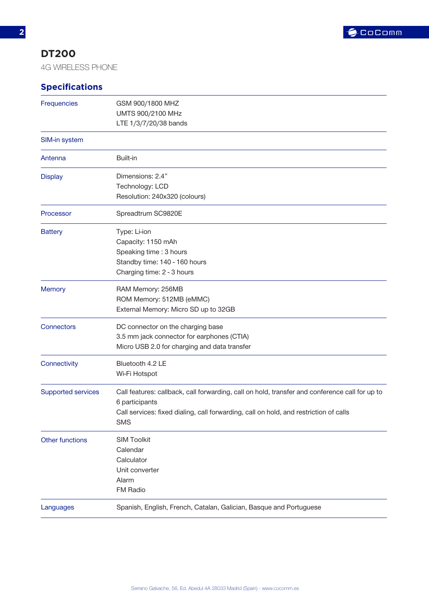

# **DT200**

4G WIRELESS PHONE

# **Specifications**

| Frequencies               | GSM 900/1800 MHZ<br>UMTS 900/2100 MHz<br>LTE 1/3/7/20/38 bands                                                                                                                                                          |
|---------------------------|-------------------------------------------------------------------------------------------------------------------------------------------------------------------------------------------------------------------------|
| SIM-in system             |                                                                                                                                                                                                                         |
| Antenna                   | Built-in                                                                                                                                                                                                                |
| <b>Display</b>            | Dimensions: 2.4"<br>Technology: LCD<br>Resolution: 240x320 (colours)                                                                                                                                                    |
| Processor                 | Spreadtrum SC9820E                                                                                                                                                                                                      |
| <b>Battery</b>            | Type: Li-ion<br>Capacity: 1150 mAh<br>Speaking time: 3 hours<br>Standby time: 140 - 160 hours<br>Charging time: 2 - 3 hours                                                                                             |
| <b>Memory</b>             | RAM Memory: 256MB<br>ROM Memory: 512MB (eMMC)<br>External Memory: Micro SD up to 32GB                                                                                                                                   |
| Connectors                | DC connector on the charging base<br>3.5 mm jack connector for earphones (CTIA)<br>Micro USB 2.0 for charging and data transfer                                                                                         |
| Connectivity              | Bluetooth 4.2 LE<br>Wi-Fi Hotspot                                                                                                                                                                                       |
| <b>Supported services</b> | Call features: callback, call forwarding, call on hold, transfer and conference call for up to<br>6 participants<br>Call services: fixed dialing, call forwarding, call on hold, and restriction of calls<br><b>SMS</b> |
| <b>Other functions</b>    | <b>SIM Toolkit</b><br>Calendar<br>Calculator<br>Unit converter<br>Alarm<br>FM Radio                                                                                                                                     |
| Languages                 | Spanish, English, French, Catalan, Galician, Basque and Portuguese                                                                                                                                                      |